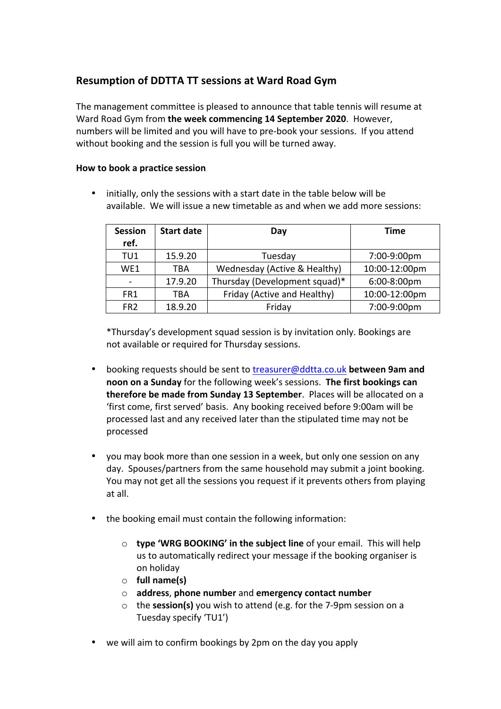# **Resumption of DDTTA TT sessions at Ward Road Gym**

The management committee is pleased to announce that table tennis will resume at Ward Road Gym from the week commencing 14 September 2020. However, numbers will be limited and you will have to pre-book your sessions. If you attend without booking and the session is full you will be turned away.

# **How to book a practice session**

initially, only the sessions with a start date in the table below will be available. We will issue a new timetable as and when we add more sessions:

| <b>Session</b>  | <b>Start date</b> | Day                           | <b>Time</b>   |
|-----------------|-------------------|-------------------------------|---------------|
| ref.            |                   |                               |               |
| TU1             | 15.9.20           | Tuesday                       | 7:00-9:00pm   |
| WF <sub>1</sub> | TBA               | Wednesday (Active & Healthy)  | 10:00-12:00pm |
|                 | 17.9.20           | Thursday (Development squad)* | 6:00-8:00pm   |
| FR1             | TBA               | Friday (Active and Healthy)   | 10:00-12:00pm |
| FR <sub>2</sub> | 18.9.20           | Friday                        | 7:00-9:00pm   |

\*Thursday's development squad session is by invitation only. Bookings are not available or required for Thursday sessions.

- booking requests should be sent to treasurer@ddtta.co.uk **between 9am and noon on a Sunday** for the following week's sessions. The first bookings can **therefore be made from Sunday 13 September.** Places will be allocated on a 'first come, first served' basis. Any booking received before 9:00am will be processed last and any received later than the stipulated time may not be processed
- vou may book more than one session in a week, but only one session on any day. Spouses/partners from the same household may submit a joint booking. You may not get all the sessions you request if it prevents others from playing at all.
- the booking email must contain the following information:
	- $\circ$  **type 'WRG BOOKING' in the subject line** of your email. This will help us to automatically redirect your message if the booking organiser is on holiday
	- o **full name(s)**
	- o **address**, **phone number** and **emergency contact number**
	- o the **session(s)** you wish to attend (e.g. for the 7-9pm session on a Tuesday specify 'TU1')
- we will aim to confirm bookings by 2pm on the day you apply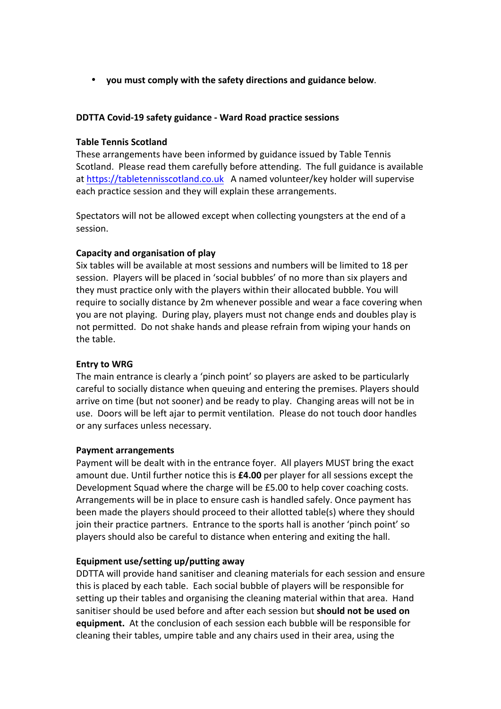• **you must comply with the safety directions and guidance below**.

## **DDTTA Covid-19 safety guidance - Ward Road practice sessions**

## **Table Tennis Scotland**

These arrangements have been informed by guidance issued by Table Tennis Scotland. Please read them carefully before attending. The full guidance is available at https://tabletennisscotland.co.uk A named volunteer/key holder will supervise each practice session and they will explain these arrangements.

Spectators will not be allowed except when collecting youngsters at the end of a session. 

## **Capacity and organisation of play**

Six tables will be available at most sessions and numbers will be limited to 18 per session. Players will be placed in 'social bubbles' of no more than six players and they must practice only with the players within their allocated bubble. You will require to socially distance by 2m whenever possible and wear a face covering when you are not playing. During play, players must not change ends and doubles play is not permitted. Do not shake hands and please refrain from wiping your hands on the table.

#### **Entry** to WRG

The main entrance is clearly a 'pinch point' so players are asked to be particularly careful to socially distance when queuing and entering the premises. Players should arrive on time (but not sooner) and be ready to play. Changing areas will not be in use. Doors will be left ajar to permit ventilation. Please do not touch door handles or any surfaces unless necessary.

#### **Payment arrangements**

Payment will be dealt with in the entrance foyer. All players MUST bring the exact amount due. Until further notice this is **£4.00** per player for all sessions except the Development Squad where the charge will be £5.00 to help cover coaching costs. Arrangements will be in place to ensure cash is handled safely. Once payment has been made the players should proceed to their allotted table(s) where they should join their practice partners. Entrance to the sports hall is another 'pinch point' so players should also be careful to distance when entering and exiting the hall.

#### Equipment use/setting up/putting away

DDTTA will provide hand sanitiser and cleaning materials for each session and ensure this is placed by each table. Each social bubble of players will be responsible for setting up their tables and organising the cleaning material within that area. Hand sanitiser should be used before and after each session but **should not be used on equipment.** At the conclusion of each session each bubble will be responsible for cleaning their tables, umpire table and any chairs used in their area, using the